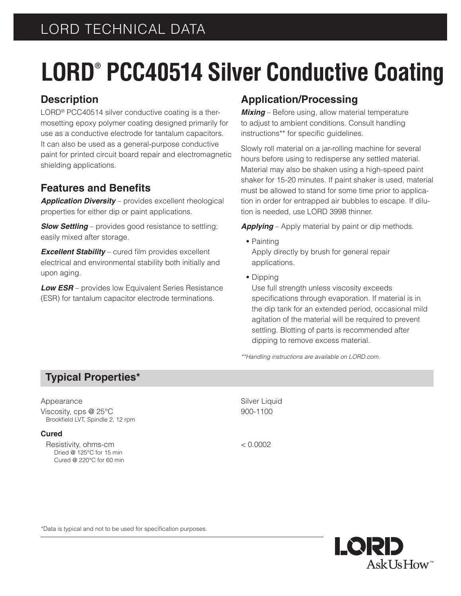# **LORD® PCC40514 Silver Conductive Coating**

## **Description**

LORD® PCC40514 silver conductive coating is a thermosetting epoxy polymer coating designed primarily for use as a conductive electrode for tantalum capacitors. It can also be used as a general-purpose conductive paint for printed circuit board repair and electromagnetic shielding applications.

## **Features and Benefits**

*Application Diversity* – provides excellent rheological properties for either dip or paint applications.

**Slow Settling** – provides good resistance to settling; easily mixed after storage.

*Excellent Stability* – cured film provides excellent electrical and environmental stability both initially and upon aging.

*Low ESR* – provides low Equivalent Series Resistance (ESR) for tantalum capacitor electrode terminations.

## **Application/Processing**

*Mixing* – Before using, allow material temperature to adjust to ambient conditions. Consult handling instructions\*\* for specific guidelines.

Slowly roll material on a jar-rolling machine for several hours before using to redisperse any settled material. Material may also be shaken using a high-speed paint shaker for 15-20 minutes. If paint shaker is used, material must be allowed to stand for some time prior to application in order for entrapped air bubbles to escape. If dilution is needed, use LORD 3998 thinner.

*Applying* – Apply material by paint or dip methods.

- **•** Painting Apply directly by brush for general repair applications.
- **•** Dipping

Use full strength unless viscosity exceeds specifications through evaporation. If material is in the dip tank for an extended period, occasional mild agitation of the material will be required to prevent settling. Blotting of parts is recommended after dipping to remove excess material.

*\*\*Handling instructions are available on LORD.com.*

## **Typical Properties\***

#### Appearance Silver Liquid

Viscosity, cps @ 25°C 900-1100 Brookfield LVT, Spindle 2, 12 rpm

#### **Cured**

Resistivity, ohms-cm < 0.0002 Dried @ 125°C for 15 min Cured @ 220°C for 60 min

LQRD  $AskIJsHow$ 

\*Data is typical and not to be used for specification purposes.